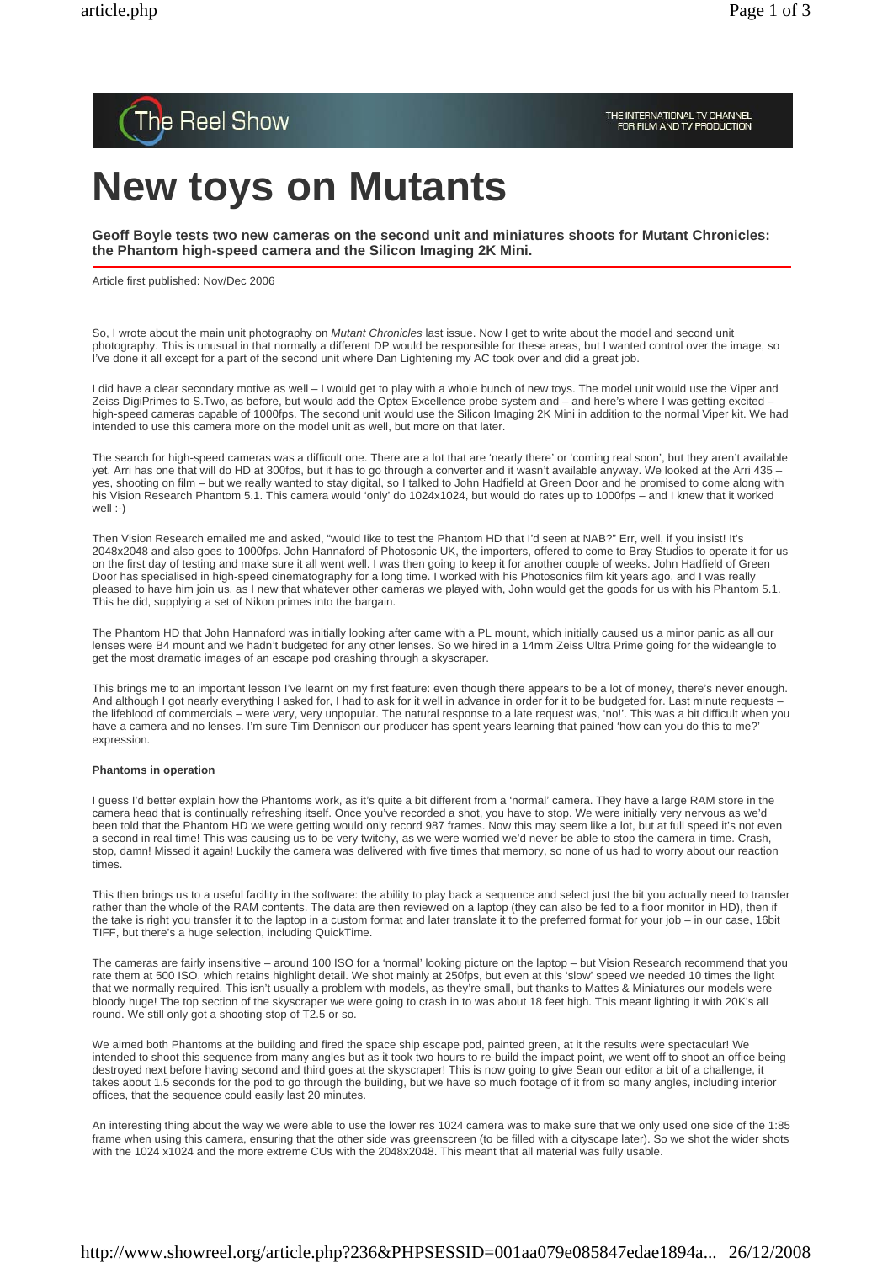

# **New toys on Mutants**

**Geoff Boyle tests two new cameras on the second unit and miniatures shoots for Mutant Chronicles: the Phantom high-speed camera and the Silicon Imaging 2K Mini.**

Article first published: Nov/Dec 2006

So, I wrote about the main unit photography on *Mutant Chronicles* last issue. Now I get to write about the model and second unit photography. This is unusual in that normally a different DP would be responsible for these areas, but I wanted control over the image, so I've done it all except for a part of the second unit where Dan Lightening my AC took over and did a great job.

I did have a clear secondary motive as well – I would get to play with a whole bunch of new toys. The model unit would use the Viper and Zeiss DigiPrimes to S.Two, as before, but would add the Optex Excellence probe system and – and here's where I was getting excited – high-speed cameras capable of 1000fps. The second unit would use the Silicon Imaging 2K Mini in addition to the normal Viper kit. We had intended to use this camera more on the model unit as well, but more on that later.

The search for high-speed cameras was a difficult one. There are a lot that are 'nearly there' or 'coming real soon', but they aren't available yet. Arri has one that will do HD at 300fps, but it has to go through a converter and it wasn't available anyway. We looked at the Arri 435 yes, shooting on film – but we really wanted to stay digital, so I talked to John Hadfield at Green Door and he promised to come along with his Vision Research Phantom 5.1. This camera would 'only' do 1024x1024, but would do rates up to 1000fps – and I knew that it worked well :-)

Then Vision Research emailed me and asked, "would Iike to test the Phantom HD that I'd seen at NAB?" Err, well, if you insist! It's 2048x2048 and also goes to 1000fps. John Hannaford of Photosonic UK, the importers, offered to come to Bray Studios to operate it for us on the first day of testing and make sure it all went well. I was then going to keep it for another couple of weeks. John Hadfield of Green Door has specialised in high-speed cinematography for a long time. I worked with his Photosonics film kit years ago, and I was really pleased to have him join us, as I new that whatever other cameras we played with, John would get the goods for us with his Phantom 5.1. This he did, supplying a set of Nikon primes into the bargain.

The Phantom HD that John Hannaford was initially looking after came with a PL mount, which initially caused us a minor panic as all our lenses were B4 mount and we hadn't budgeted for any other lenses. So we hired in a 14mm Zeiss Ultra Prime going for the wideangle to get the most dramatic images of an escape pod crashing through a skyscraper.

This brings me to an important lesson I've learnt on my first feature: even though there appears to be a lot of money, there's never enough. And although I got nearly everything I asked for, I had to ask for it well in advance in order for it to be budgeted for. Last minute requests the lifeblood of commercials – were very, very unpopular. The natural response to a late request was, 'no!'. This was a bit difficult when you have a camera and no lenses. I'm sure Tim Dennison our producer has spent years learning that pained 'how can you do this to me?' expression.

### **Phantoms in operation**

I guess I'd better explain how the Phantoms work, as it's quite a bit different from a 'normal' camera. They have a large RAM store in the camera head that is continually refreshing itself. Once you've recorded a shot, you have to stop. We were initially very nervous as we'd been told that the Phantom HD we were getting would only record 987 frames. Now this may seem like a lot, but at full speed it's not even a second in real time! This was causing us to be very twitchy, as we were worried we'd never be able to stop the camera in time. Crash, stop, damn! Missed it again! Luckily the camera was delivered with five times that memory, so none of us had to worry about our reaction times.

This then brings us to a useful facility in the software: the ability to play back a sequence and select just the bit you actually need to transfer rather than the whole of the RAM contents. The data are then reviewed on a laptop (they can also be fed to a floor monitor in HD), then if the take is right you transfer it to the laptop in a custom format and later translate it to the preferred format for your job – in our case, 16bit TIFF, but there's a huge selection, including QuickTime.

The cameras are fairly insensitive – around 100 ISO for a 'normal' looking picture on the laptop – but Vision Research recommend that you rate them at 500 ISO, which retains highlight detail. We shot mainly at 250fps, but even at this 'slow' speed we needed 10 times the light that we normally required. This isn't usually a problem with models, as they're small, but thanks to Mattes & Miniatures our models were bloody huge! The top section of the skyscraper we were going to crash in to was about 18 feet high. This meant lighting it with 20K's all round. We still only got a shooting stop of T2.5 or so.

We aimed both Phantoms at the building and fired the space ship escape pod, painted green, at it the results were spectacular! We intended to shoot this sequence from many angles but as it took two hours to re-build the impact point, we went off to shoot an office being destroyed next before having second and third goes at the skyscraper! This is now going to give Sean our editor a bit of a challenge, it takes about 1.5 seconds for the pod to go through the building, but we have so much footage of it from so many angles, including interior offices, that the sequence could easily last 20 minutes.

An interesting thing about the way we were able to use the lower res 1024 camera was to make sure that we only used one side of the 1:85 frame when using this camera, ensuring that the other side was greenscreen (to be filled with a cityscape later). So we shot the wider shots with the 1024 x1024 and the more extreme CUs with the 2048x2048. This meant that all material was fully usable.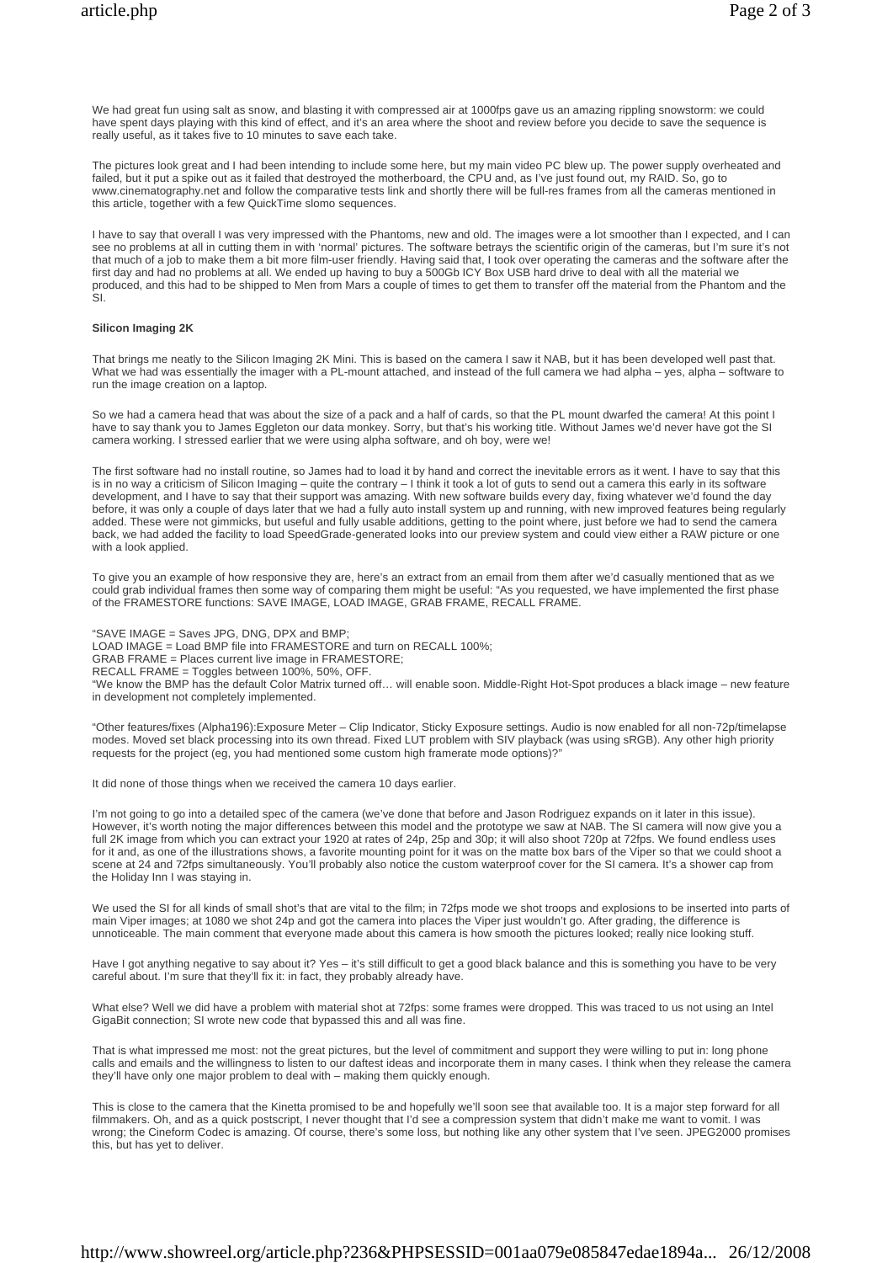We had great fun using salt as snow, and blasting it with compressed air at 1000fps gave us an amazing rippling snowstorm; we could have spent days playing with this kind of effect, and it's an area where the shoot and review before you decide to save the sequence is really useful, as it takes five to 10 minutes to save each take.

The pictures look great and I had been intending to include some here, but my main video PC blew up. The power supply overheated and failed, but it put a spike out as it failed that destroyed the motherboard, the CPU and, as I've just found out, my RAID. So, go to www.cinematography.net and follow the comparative tests link and shortly there will be full-res frames from all the cameras mentioned in this article, together with a few QuickTime slomo sequences.

I have to say that overall I was very impressed with the Phantoms, new and old. The images were a lot smoother than I expected, and I can see no problems at all in cutting them in with 'normal' pictures. The software betrays the scientific origin of the cameras, but I'm sure it's not that much of a job to make them a bit more film-user friendly. Having said that, I took over operating the cameras and the software after the first day and had no problems at all. We ended up having to buy a 500Gb ICY Box USB hard drive to deal with all the material we produced, and this had to be shipped to Men from Mars a couple of times to get them to transfer off the material from the Phantom and the  $\overline{S}$ 

#### **Silicon Imaging 2K**

That brings me neatly to the Silicon Imaging 2K Mini. This is based on the camera I saw it NAB, but it has been developed well past that. What we had was essentially the imager with a PL-mount attached, and instead of the full camera we had alpha – yes, alpha – software to run the image creation on a laptop.

So we had a camera head that was about the size of a pack and a half of cards, so that the PL mount dwarfed the camera! At this point I have to say thank you to James Eggleton our data monkey. Sorry, but that's his working title. Without James we'd never have got the SI camera working. I stressed earlier that we were using alpha software, and oh boy, were we!

The first software had no install routine, so James had to load it by hand and correct the inevitable errors as it went. I have to say that this is in no way a criticism of Silicon Imaging – quite the contrary – I think it took a lot of guts to send out a camera this early in its software development, and I have to say that their support was amazing. With new software builds every day, fixing whatever we'd found the day before, it was only a couple of days later that we had a fully auto install system up and running, with new improved features being regularly added. These were not gimmicks, but useful and fully usable additions, getting to the point where, just before we had to send the camera back, we had added the facility to load SpeedGrade-generated looks into our preview system and could view either a RAW picture or one with a look applied.

To give you an example of how responsive they are, here's an extract from an email from them after we'd casually mentioned that as we could grab individual frames then some way of comparing them might be useful: "As you requested, we have implemented the first phase of the FRAMESTORE functions: SAVE IMAGE, LOAD IMAGE, GRAB FRAME, RECALL FRAME.

"SAVE IMAGE = Saves JPG, DNG, DPX and BMP; LOAD IMAGE = Load BMP file into FRAMESTORE and turn on RECALL 100%; GRAB FRAME = Places current live image in FRAMESTORE; RECALL FRAME = Toggles between 100%, 50%, OFF. "We know the BMP has the default Color Matrix turned off… will enable soon. Middle-Right Hot-Spot produces a black image – new feature in development not completely implemented.

"Other features/fixes (Alpha196):Exposure Meter – Clip Indicator, Sticky Exposure settings. Audio is now enabled for all non-72p/timelapse modes. Moved set black processing into its own thread. Fixed LUT problem with SIV playback (was using sRGB). Any other high priority requests for the project (eg, you had mentioned some custom high framerate mode options)?'

It did none of those things when we received the camera 10 days earlier.

I'm not going to go into a detailed spec of the camera (we've done that before and Jason Rodriguez expands on it later in this issue). However, it's worth noting the major differences between this model and the prototype we saw at NAB. The SI camera will now give you a full 2K image from which you can extract your 1920 at rates of 24p, 25p and 30p; it will also shoot 720p at 72fps. We found endless uses for it and, as one of the illustrations shows, a favorite mounting point for it was on the matte box bars of the Viper so that we could shoot a scene at 24 and 72fps simultaneously. You'll probably also notice the custom waterproof cover for the SI camera. It's a shower cap from the Holiday Inn I was staying in.

We used the SI for all kinds of small shot's that are vital to the film; in 72fps mode we shot troops and explosions to be inserted into parts of main Viper images; at 1080 we shot 24p and got the camera into places the Viper just wouldn't go. After grading, the difference is unnoticeable. The main comment that everyone made about this camera is how smooth the pictures looked; really nice looking stuff.

Have I got anything negative to say about it? Yes – it's still difficult to get a good black balance and this is something you have to be very careful about. I'm sure that they'll fix it: in fact, they probably already have.

What else? Well we did have a problem with material shot at 72fps: some frames were dropped. This was traced to us not using an Intel GigaBit connection; SI wrote new code that bypassed this and all was fine.

That is what impressed me most: not the great pictures, but the level of commitment and support they were willing to put in: long phone calls and emails and the willingness to listen to our daftest ideas and incorporate them in many cases. I think when they release the camera they'll have only one major problem to deal with – making them quickly enough.

This is close to the camera that the Kinetta promised to be and hopefully we'll soon see that available too. It is a major step forward for all filmmakers. Oh, and as a quick postscript, I never thought that I'd see a compression system that didn't make me want to vomit. I was wrong; the Cineform Codec is amazing. Of course, there's some loss, but nothing like any other system that I've seen. JPEG2000 promises this, but has yet to deliver.